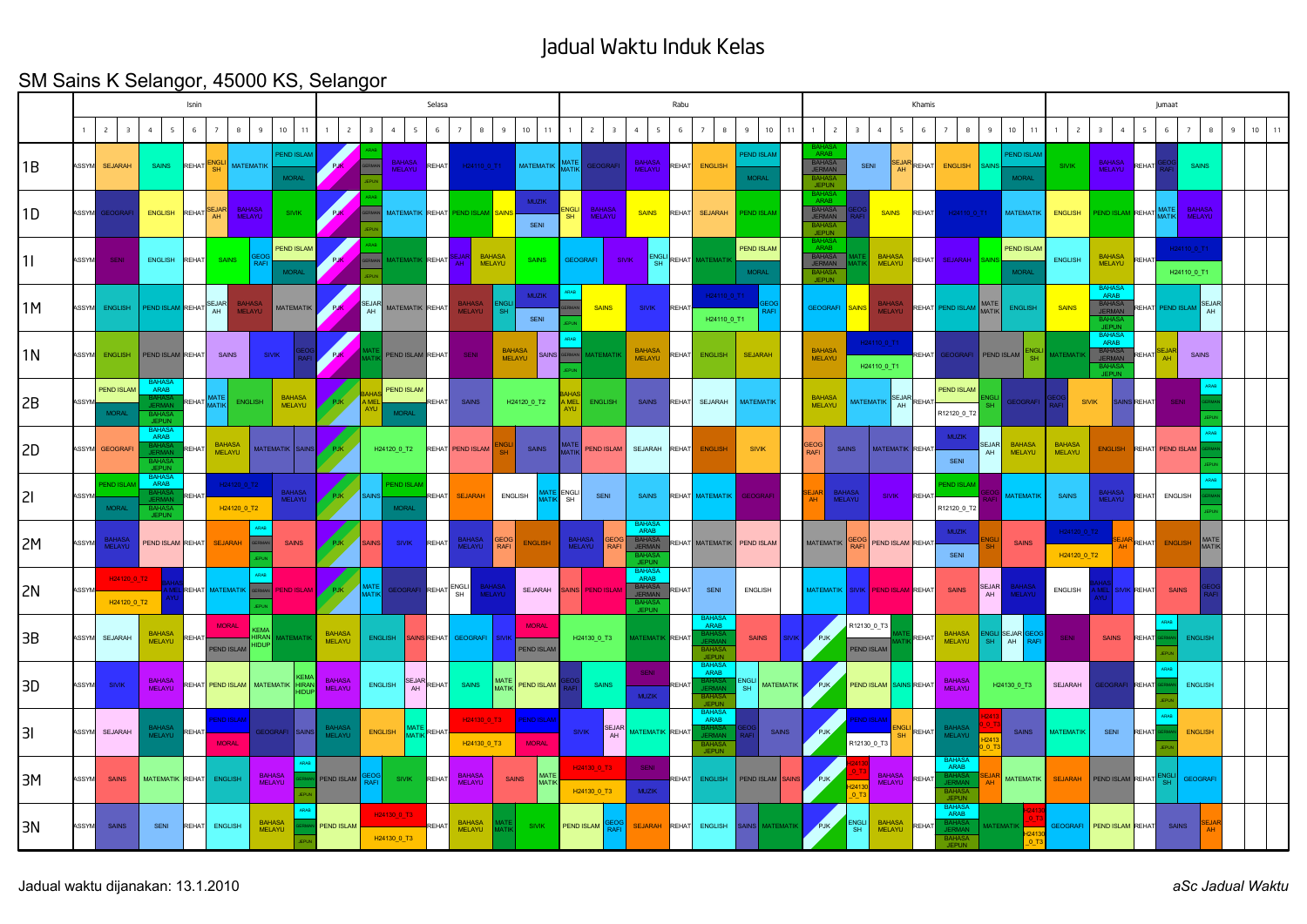## Jadual Waktu Induk Kelas

## SM Sains K Selangor, 45000 KS, Selangor

|       | Isnin        |                                   |                                                                              |              |                                  |                         |                         |                                |                                |                |                                   | Selasa             |                                |                                |                                   | Rabu              |                                         |                                    |              |                                                                 |                                   |  |                                                                  | Khamis                           |                                |                       |                                                              |             |                                   |                            |                                                                  | Jumaat             |                          |                                |            |          |  |  |  |  |
|-------|--------------|-----------------------------------|------------------------------------------------------------------------------|--------------|----------------------------------|-------------------------|-------------------------|--------------------------------|--------------------------------|----------------|-----------------------------------|--------------------|--------------------------------|--------------------------------|-----------------------------------|-------------------|-----------------------------------------|------------------------------------|--------------|-----------------------------------------------------------------|-----------------------------------|--|------------------------------------------------------------------|----------------------------------|--------------------------------|-----------------------|--------------------------------------------------------------|-------------|-----------------------------------|----------------------------|------------------------------------------------------------------|--------------------|--------------------------|--------------------------------|------------|----------|--|--|--|--|
|       |              | $\overline{c}$<br>$\overline{3}$  | $\overline{4}$<br>$5^{\circ}$                                                | 6            | $\overline{7}$                   | 8                       | 10 <sup>10</sup>        | 11                             | $\overline{z}$                 |                | 5<br>4                            | 6                  | $\overline{8}$                 | $\mathbf{q}$                   | 10<br>$11 -$                      |                   | $\overline{c}$                          | $\overline{4}$<br>5                | 6            |                                                                 | 10<br>11                          |  | $\overline{c}$                                                   |                                  | $\overline{4}$<br>5            | 6                     |                                                              |             | 10<br>11                          | $\overline{c}$             | $\overline{4}$                                                   | 5                  | 6                        | $\overline{7}$                 | $^{\circ}$ | 10<br>11 |  |  |  |  |
| l 1 B |              | ASSYM SEJARAH                     | <b>SAINS</b>                                                                 | REHAT        | <b>NGL</b><br>SH                 | <b>MATEMATIK</b>        |                         | PEND ISLAM<br><b>MORAL</b>     | PJK                            |                | BAHASA<br>MELAYU                  | REHAT              | H24110_0_T1                    |                                | <b>MATEMATIK</b>                  | MATE<br>MATIK     | <b>GEOGRAFI</b>                         | <b>BAHASA</b><br>MELAYU            | REHAT        | <b>ENGLISH</b>                                                  | <b>END ISLAM</b><br><b>MORAL</b>  |  | BAHASA<br>JERMAN                                                 | <b>SENI</b>                      | EJAI<br>AH                     | REHAT                 | <b>ENGLISH</b>                                               |             | <b>PEND ISLAN</b><br><b>MORAL</b> | <b>SIVIK</b>               | <b>BAHASA</b><br>MELAYU                                          | REHAT              |                          | <b>SAINS</b>                   |            |          |  |  |  |  |
| 1D    | <b>ASSYM</b> | <b>GEOGRAFI</b>                   | <b>ENGLISH</b>                                                               | REHAT        | <b>EJA</b><br>AH                 | <b>BAHASA</b><br>MELAYU |                         | <b>SIVIK</b>                   | PJK                            |                | <b>MATEMATIK</b>                  | REHAT              | <b>END ISLAN</b>               |                                | <b>MUZIK</b><br>SENI              | <b>NGLI</b><br>SH | <b>BAHASA</b><br>MELAYU                 | <b>SAINS</b>                       | REHAT        | <b>SEJARAH</b>                                                  | <b>END ISLAI</b>                  |  | 3AHAS<br>ARAF<br>BAHASA<br>JERMAN<br><b>JEPUN</b>                |                                  | <b>SAINS</b>                   | REHAT                 | H24110_0_T1                                                  |             | <b>MATEMATIK</b>                  | <b>ENGLISH</b>             | END ISLAM REHAT MATE                                             |                    |                          | <b>BAHASA</b><br><b>MELAYU</b> |            |          |  |  |  |  |
| l 1 I | <b>ASSYM</b> | <b>SENI</b>                       | <b>ENGLISH</b>                                                               | REHAT        | <b>SAINS</b>                     | <b>RAF</b>              |                         | PEND ISLAM<br><b>MORAL</b>     | PJK                            |                | <b>ATFMATIK</b>                   | REHAT              |                                | <b>BAHASA</b><br><b>MELAYU</b> | <b>SAINS</b>                      |                   | <b>GEOGRAFI</b>                         | ENGLI<br><b>SIVIK</b><br><b>SH</b> | <b>REHAT</b> | <b>MATFMAT</b>                                                  | <b>PEND ISLAM</b><br><b>MORAL</b> |  | SAHAS<br>ARAR<br>BAHASA<br>JERMAN<br><b>BAHA</b><br><b>JEPUN</b> |                                  | <b>BAHASA</b><br><b>MELAYU</b> | RFHAT                 | <b>SEJARAH</b>                                               |             | <b>PEND ISLAM</b><br><b>MORAL</b> | ENGLISH                    | <b>BAHASA</b><br><b>MELAYU</b>                                   | <b>REHAT</b>       |                          | H24110_0_T1<br>H24110_0_T1     |            |          |  |  |  |  |
| 1M    |              | ASSYM ENGLISH                     | PEND ISLAM REHAT SEJAR                                                       |              |                                  | <b>BAHASA</b><br>MELAYU |                         | <b>MATEMATIK</b>               | <b>PJK</b>                     | SEJAF<br>AH    | MATEMATIK REHAT                   |                    | <b>BAHASA</b><br>MELAYU        | <b>SH</b>                      | <b>MUZIK</b><br>SENI              |                   | <b>SAINS</b>                            | <b>SIVIK</b>                       | REHAT        | H24110_0_T1<br>H24110_0_T1                                      |                                   |  | GEOGRAFI SAINS                                                   |                                  | <b>BAHASA</b><br>MELAYU        |                       | REHAT PEND ISLAM MATE                                        |             | <b>ENGLISH</b>                    | <b>SAINS</b>               | BAHAS/<br>ARAB<br>BAHASA<br>JERMAN                               | <b>REHAT</b>       |                          | PEND ISLAM SEJAR               |            |          |  |  |  |  |
| 11N   |              | ASSYM ENGLISH                     | PEND ISLAM REHAT                                                             |              | <b>SAINS</b>                     |                         | <b>SIVIK</b>            |                                | <b>PJK</b>                     |                | PEND ISLAM REHAT                  |                    | <b>SENI</b>                    | <b>BAHASA</b><br>MELAYU        | SAINS                             |                   | <b>AATEMATIK</b>                        | BAHASA<br>MELAYU                   | REHAT        | ENGLISH                                                         | <b>SEJARAH</b>                    |  | <b>BAHASA</b><br>MELAYU                                          |                                  | H24110_0_T1<br>H24110_0_T1     | <b>EHAT</b>           | EOGRAFI                                                      |             | NGI<br>SH<br>PEND ISLAM           | <b>IATEMATII</b>           | <b>BAHAS/</b><br><b>ARAB</b><br>BAHASA<br>JERMAN<br><b>JEPUN</b> | REHAT              |                          | SAINS                          |            |          |  |  |  |  |
| 2B    | <b>ASSYM</b> | <b>PEND ISLAM</b><br><b>MORAL</b> | DALIAS)<br>ARAB<br><b>BAHAS</b>                                              | REHAT MATE   |                                  | <b>ENGLISH</b>          |                         | <b>BAHASA</b><br><b>MELAYU</b> | PJK                            |                | <b>PEND ISLAN</b><br><b>MORAL</b> | REHAT              | SAINS                          |                                | H24120_0_T2                       |                   | <b>ENGLISH</b>                          | <b>SAINS</b>                       | RFHAT        | SEJARAH                                                         | <b>MATEMATIK</b>                  |  | <b>BAHASA</b><br><b>MELAYU</b>                                   |                                  | MATEMATIK SEJAR REHAT          |                       | <b>PEND ISLAM</b><br>R12120_0_T2                             |             | <b>GEOGRAFI</b>                   |                            | <b>SIVIK</b>                                                     | <b>SAINS REHAT</b> | <b>SENI</b>              |                                |            |          |  |  |  |  |
| 2D    |              | ASSYM GEOGRAFI                    | BAHASA<br>ARAB<br>BAHAS.<br>IEDMAI                                           | <b>REHAT</b> | <b>BAHASA</b><br>MELAYU          |                         | MATEMATIK SAINS         |                                | <b>PJK</b>                     |                | H24120_0_T2                       |                    | REHAT PEND ISLAM               |                                | SAINS                             |                   | PEND ISLAM                              | <b>SEJARAH</b>                     | REHAT        | <b>ENGLISH</b>                                                  | <b>SIVIK</b>                      |  | EO(<br>RAFI                                                      | <b>SAINS</b>                     | <b>MATEMATIK REHAT</b>         |                       | <b>MUZIK</b><br>SENI                                         | SEJAR<br>AH | <b>BAHASA</b><br>MELAYU           | <b>BAHASA</b><br>MELAYU    |                                                                  |                    | ENGLISH REHAT PEND ISLAM |                                |            |          |  |  |  |  |
| 2     | <b>ASSYM</b> | <b>END ISLAM</b><br><b>MORAL</b>  | <b>BAHAS</b><br><b>ARAB</b><br><b>JFRMAN</b><br><b>BAHASA</b><br><b>IFPU</b> | <b>RFHA</b>  | H24120_0_T2                      | H24120_0_T2             |                         | BAHASA<br>MELAYU               | PJK                            |                | PEND ISLAI<br><b>MORAL</b>        | REHAT              | <b>SEJARAH</b>                 | <b>ENGLISH</b>                 |                                   | ENGLI<br>SH       | SENI                                    | <b>SAINS</b>                       | <b>REHAT</b> | <b>MATEMATIK</b>                                                | <b>GEOGRAF</b>                    |  |                                                                  | BAHASA<br>MELAYU                 | <b>SIVIK</b>                   | <b>REHAT</b>          | <b>END ISLAN</b><br>R12120_0_T2                              |             | <b>MATEMATIK</b>                  | <b>SAINS</b>               | BAHASA<br>MELAYU                                                 | REHAT              | ENGLISH                  |                                |            |          |  |  |  |  |
| 2M    | ASSYM        | BAHASA<br>MELAYU                  | PEND ISLAM REHAT                                                             |              | <b>SEJARAH</b>                   |                         |                         | <b>SAINS</b>                   | PJK                            | <b>AIN</b>     | <b>SIVIK</b>                      | REHAT              | BAHASA<br>MELAYU               | EOG<br>RAFI                    | <b>ENGLISH</b>                    |                   | <b>GEOG</b><br>BAHASA<br>MELAYU<br>RAFI | AHAS<br>ARAB<br>BAHASA<br>JERMAN   |              | REHAT MATEMATIK                                                 | PEND ISLAM                        |  | <b>MATEMATIK</b>                                                 | iЕO                              | PEND ISLAM REHAT               |                       | <b>MUZIK</b><br>SENI                                         |             | <b>SAINS</b>                      | H24120_0_T2<br>H24120_0_T2 |                                                                  | REHAT              | <b>ENGLISH</b>           | MATE<br>MATIK                  |            |          |  |  |  |  |
| 2N    | ASSYM        | H24120_0_T2<br>H24120_0_T2        |                                                                              |              | REHAT MATEMATIK                  | <b>GERMAN</b>           |                         | PEND ISLAM                     | PJK /                          | MATE<br>MATII  | <b>GEOGRAFI REHAT</b>             |                    | ENGLI<br>SH                    | BAHASA<br>MELAYU               | SEJARAH                           | <b>AINS</b>       | <b>PEND ISLAM</b>                       | BAHASA<br>ARAB<br>BAHASA<br>JERMAN | RFHAT        | SENI                                                            | <b>ENGLISH</b>                    |  | MATEMATIK SIVIK                                                  |                                  | <b>PEND ISLAM REHAT</b>        |                       | <b>SAINS</b>                                                 | SEJAR<br>AH | BAHASA<br>MELAYU                  | ENGLISH                    |                                                                  | SIVIK REHAT        | <b>SAINS</b>             |                                |            |          |  |  |  |  |
| 3B    |              | ASSYM SEJARAH                     | <b>BAHASA</b><br><b>MELAYU</b>                                               | REHAT        | <b>MORAL</b><br><b>END ISLAM</b> | <b>KEMA</b>             |                         | <b>AATFMATI</b>                | <b>BAHASA</b><br>MELAYU        | ENGLISH        |                                   | <b>SAINS REHAT</b> | <b>GEOGRAFI</b>                |                                | <b>MORAL</b><br><b>PEND ISLAM</b> |                   | H24130_0_T3                             | <b>IATEMATIK</b>                   | REHAT        | BAHASA<br>ARAB<br>BAHAS/<br>JERMAN<br>BAHASA<br><b>FPUM</b>     | <b>SAINS</b>                      |  | P.IK                                                             | R12130_0_T3<br><b>PEND ISLAM</b> |                                | REHAT                 | <b>BAHASA</b><br>MELAYU                                      |             | NGLISEJAR<br>SHAH                 | <b>SENI</b>                | <b>SAINS</b>                                                     | REHAT              | <b>ARAS</b>              | <b>ENGLISH</b>                 |            |          |  |  |  |  |
| 3D    | ASSYM        | <b>SIVIK</b>                      | <b>BAHASA</b><br><b>MELAYU</b>                                               |              | REHAT PEND ISLAM                 |                         | <b>MATEMATIK</b>        |                                | <b>BAHASA</b><br><b>MELAYU</b> | <b>ENGLISH</b> | AH                                | SEJAR REHAT        | SAINS                          | <b>MATE</b><br><b>MATI</b>     | PEND ISLAM                        |                   | SAINS                                   | <b>SENI</b><br><b>MUZIK</b>        | REHAT        | BAHAS/<br>ARAB<br>BAHASA<br>JEPUN                               | NGLI MATEMATIK                    |  | PJK                                                              | PEND ISLAM                       |                                | <b>SAINS REHAT</b>    | <b>BAHASA</b><br>MELAYU                                      |             | H24130_0_T3                       | SEJARAH                    | <b>EOGRAFI REHAT</b>                                             |                    |                          | <b>ENGLISH</b>                 |            |          |  |  |  |  |
| 31    |              | ASSYM SEJARAH                     | <b>BAHASA</b><br>MELAYU                                                      | <b>REHAT</b> | <b>END ISLAM</b><br><b>MORAL</b> |                         | <b>GEOGRAFI</b>         | SAINS                          | BAHASA<br>MELAYU               | <b>ENGLISH</b> | <b>MAT</b>                        | <b>REHA</b>        | H24130_0_T3<br>H24130_0_T3     |                                | <b>PEND ISLAM</b><br><b>MORAL</b> |                   | SEJAR<br>AH<br><b>SIVIK</b>             | MATEMATIK REHAT                    |              | BAHASA<br>ARAB<br>AMAS/<br>FRMAN<br><b>BAHAS</b><br><b>EPUN</b> | <b>SAINS</b>                      |  | $P_{.}$ IK                                                       | R12130_0_T3                      |                                | NGLI <sub>REHAT</sub> | BAHASA<br>MELAYU                                             |             | SAINS                             | <b>MATEMATIK</b>           | SENI                                                             | REHAT              |                          | <b>ENGLISH</b>                 |            |          |  |  |  |  |
| 3M    | <b>ASSYM</b> | <b>SAINS</b>                      | <b>MATEMATIK</b>                                                             | REHAT        | <b>ENGLISH</b>                   |                         | <b>BAHASA</b><br>MELAYU |                                | PEND ISLAM                     | GEO(<br>RAFI   | <b>SIVIK</b>                      | REHA <sup>-</sup>  | <b>BAHASA</b><br>MELAYU        | <b>SAINS</b>                   | <b>MATI</b><br>MATIK              |                   | H24130_0_T3<br>H24130_0_T3              | <b>SENI</b><br><b>MUZIK</b>        | REHAT        | <b>ENGLISH</b>                                                  | PEND ISLAM                        |  | PJK.                                                             |                                  | <b>BAHASA</b><br>MELAYU        | <b>REHAT</b>          | BAHAS,<br>ARAB<br>BAHAS.<br>JERMAI<br>BAHAS.<br><b>JEPUM</b> |             | <b>MATEMATIK</b>                  | <b>SEJARAH</b>             | PEND ISLAM REHAT                                                 |                    | <b>SH</b>                | <b>GEOGRAF</b>                 |            |          |  |  |  |  |
| 3N    | <b>ASSYM</b> | SAINS                             | <b>SENI</b>                                                                  | REHAT        | <b>ENGLISH</b>                   |                         | <b>BAHASA</b><br>MELAYU |                                | PEND ISLAM                     |                | H24130_0_T3<br>H24130_0_T3        | REHAT              | <b>BAHASA</b><br><b>MELAYU</b> |                                | <b>SIVIK</b>                      |                   | PEND ISLAM                              | <b>SEJARAH</b>                     | REHAT        | <b>ENGLISH</b>                                                  | SAINS MATEMATIK                   |  | PJK                                                              | <b>ENGLI</b><br>SH               | <b>BAHASA</b><br><b>MELAYU</b> | REHAT                 | BAHASA<br>ARAB<br><b>BAHASA</b>                              |             | <b>AATEMATI</b>                   | <b>GEOGRAFI</b>            | PEND ISLAM REHAT                                                 |                    | <b>SAINS</b>             | EJA                            |            |          |  |  |  |  |